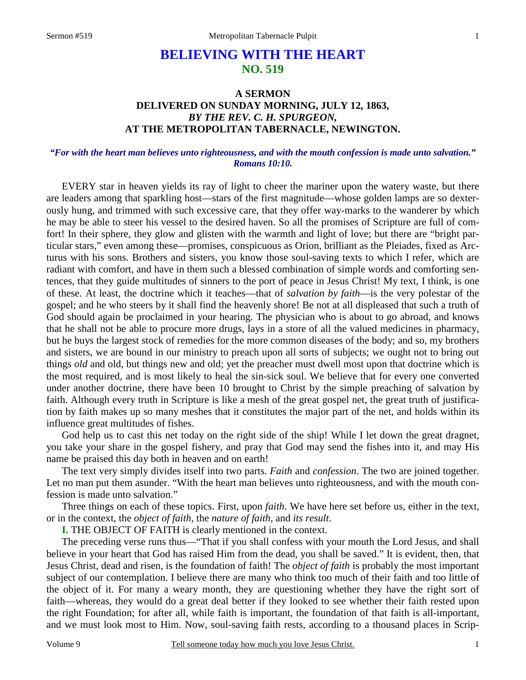# **BELIEVING WITH THE HEART NO. 519**

## **A SERMON DELIVERED ON SUNDAY MORNING, JULY 12, 1863,**  *BY THE REV. C. H. SPURGEON,*  **AT THE METROPOLITAN TABERNACLE, NEWINGTON.**

#### *"For with the heart man believes unto righteousness, and with the mouth confession is made unto salvation." Romans 10:10.*

EVERY star in heaven yields its ray of light to cheer the mariner upon the watery waste, but there are leaders among that sparkling host—stars of the first magnitude—whose golden lamps are so dexterously hung, and trimmed with such excessive care, that they offer way-marks to the wanderer by which he may be able to steer his vessel to the desired haven. So all the promises of Scripture are full of comfort! In their sphere, they glow and glisten with the warmth and light of love; but there are "bright particular stars," even among these—promises, conspicuous as Orion, brilliant as the Pleiades, fixed as Arcturus with his sons. Brothers and sisters, you know those soul-saving texts to which I refer, which are radiant with comfort, and have in them such a blessed combination of simple words and comforting sentences, that they guide multitudes of sinners to the port of peace in Jesus Christ! My text, I think, is one of these. At least, the doctrine which it teaches—that of *salvation by faith*—is the very polestar of the gospel; and he who steers by it shall find the heavenly shore! Be not at all displeased that such a truth of God should again be proclaimed in your hearing. The physician who is about to go abroad, and knows that he shall not be able to procure more drugs, lays in a store of all the valued medicines in pharmacy, but he buys the largest stock of remedies for the more common diseases of the body; and so, my brothers and sisters, we are bound in our ministry to preach upon all sorts of subjects; we ought not to bring out things *old* and old, but things new and old; yet the preacher must dwell most upon that doctrine which is the most required, and is most likely to heal the sin-sick soul. We believe that for every one converted under another doctrine, there have been 10 brought to Christ by the simple preaching of salvation by faith. Although every truth in Scripture is like a mesh of the great gospel net, the great truth of justification by faith makes up so many meshes that it constitutes the major part of the net, and holds within its influence great multitudes of fishes.

God help us to cast this net today on the right side of the ship! While I let down the great dragnet, you take your share in the gospel fishery, and pray that God may send the fishes into it, and may His name be praised this day both in heaven and on earth!

The text very simply divides itself into two parts. *Faith* and *confession*. The two are joined together. Let no man put them asunder. "With the heart man believes unto righteousness, and with the mouth confession is made unto salvation."

Three things on each of these topics. First, upon *faith*. We have here set before us, either in the text, or in the context, the *object of faith,* the *nature of faith,* and *its result*.

**I.** THE OBJECT OF FAITH is clearly mentioned in the context.

The preceding verse runs thus—"That if you shall confess with your mouth the Lord Jesus, and shall believe in your heart that God has raised Him from the dead, you shall be saved." It is evident, then, that Jesus Christ, dead and risen, is the foundation of faith! The *object of faith* is probably the most important subject of our contemplation. I believe there are many who think too much of their faith and too little of the object of it. For many a weary month, they are questioning whether they have the right sort of faith—whereas, they would do a great deal better if they looked to see whether their faith rested upon the right Foundation; for after all, while faith is important, the foundation of that faith is all-important, and we must look most to Him. Now, soul-saving faith rests, according to a thousand places in Scrip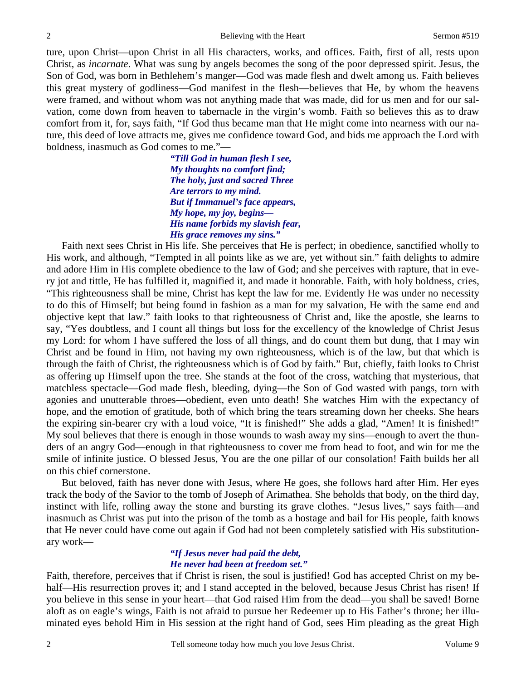ture, upon Christ—upon Christ in all His characters, works, and offices. Faith, first of all, rests upon Christ, as *incarnate*. What was sung by angels becomes the song of the poor depressed spirit. Jesus, the Son of God, was born in Bethlehem's manger—God was made flesh and dwelt among us. Faith believes this great mystery of godliness—God manifest in the flesh—believes that He, by whom the heavens were framed, and without whom was not anything made that was made, did for us men and for our salvation, come down from heaven to tabernacle in the virgin's womb. Faith so believes this as to draw comfort from it, for, says faith, "If God thus became man that He might come into nearness with our nature, this deed of love attracts me, gives me confidence toward God, and bids me approach the Lord with boldness, inasmuch as God comes to me."—

> *"Till God in human flesh I see, My thoughts no comfort find; The holy, just and sacred Three Are terrors to my mind. But if Immanuel's face appears, My hope, my joy, begins— His name forbids my slavish fear, His grace removes my sins."*

Faith next sees Christ in His life. She perceives that He is perfect; in obedience, sanctified wholly to His work, and although, "Tempted in all points like as we are, yet without sin." faith delights to admire and adore Him in His complete obedience to the law of God; and she perceives with rapture, that in every jot and tittle, He has fulfilled it, magnified it, and made it honorable. Faith, with holy boldness, cries, "This righteousness shall be mine, Christ has kept the law for me. Evidently He was under no necessity to do this of Himself; but being found in fashion as a man for my salvation, He with the same end and objective kept that law." faith looks to that righteousness of Christ and, like the apostle, she learns to say, "Yes doubtless, and I count all things but loss for the excellency of the knowledge of Christ Jesus my Lord: for whom I have suffered the loss of all things, and do count them but dung, that I may win Christ and be found in Him, not having my own righteousness, which is of the law, but that which is through the faith of Christ, the righteousness which is of God by faith." But, chiefly, faith looks to Christ as offering up Himself upon the tree. She stands at the foot of the cross, watching that mysterious, that matchless spectacle—God made flesh, bleeding, dying—the Son of God wasted with pangs, torn with agonies and unutterable throes—obedient, even unto death! She watches Him with the expectancy of hope, and the emotion of gratitude, both of which bring the tears streaming down her cheeks. She hears the expiring sin-bearer cry with a loud voice, "It is finished!" She adds a glad, "Amen! It is finished!" My soul believes that there is enough in those wounds to wash away my sins—enough to avert the thunders of an angry God—enough in that righteousness to cover me from head to foot, and win for me the smile of infinite justice. O blessed Jesus, You are the one pillar of our consolation! Faith builds her all on this chief cornerstone.

But beloved, faith has never done with Jesus, where He goes, she follows hard after Him. Her eyes track the body of the Savior to the tomb of Joseph of Arimathea. She beholds that body, on the third day, instinct with life, rolling away the stone and bursting its grave clothes. "Jesus lives," says faith—and inasmuch as Christ was put into the prison of the tomb as a hostage and bail for His people, faith knows that He never could have come out again if God had not been completely satisfied with His substitutionary work—

### *"If Jesus never had paid the debt, He never had been at freedom set."*

Faith, therefore, perceives that if Christ is risen, the soul is justified! God has accepted Christ on my behalf—His resurrection proves it; and I stand accepted in the beloved, because Jesus Christ has risen! If you believe in this sense in your heart—that God raised Him from the dead—you shall be saved! Borne aloft as on eagle's wings, Faith is not afraid to pursue her Redeemer up to His Father's throne; her illuminated eyes behold Him in His session at the right hand of God, sees Him pleading as the great High

2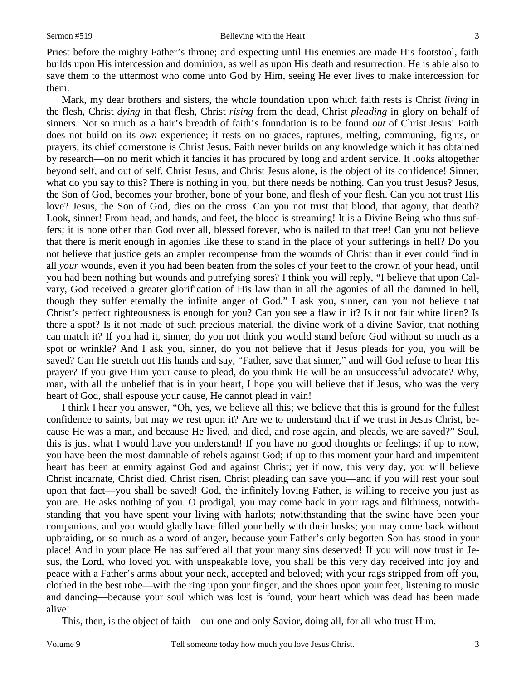Priest before the mighty Father's throne; and expecting until His enemies are made His footstool, faith builds upon His intercession and dominion, as well as upon His death and resurrection. He is able also to save them to the uttermost who come unto God by Him, seeing He ever lives to make intercession for them.

Mark, my dear brothers and sisters, the whole foundation upon which faith rests is Christ *living* in the flesh, Christ *dying* in that flesh, Christ *rising* from the dead, Christ *pleading* in glory on behalf of sinners. Not so much as a hair's breadth of faith's foundation is to be found *out* of Christ Jesus! Faith does not build on its *own* experience; it rests on no graces, raptures, melting, communing, fights, or prayers; its chief cornerstone is Christ Jesus. Faith never builds on any knowledge which it has obtained by research—on no merit which it fancies it has procured by long and ardent service. It looks altogether beyond self, and out of self. Christ Jesus, and Christ Jesus alone, is the object of its confidence! Sinner, what do you say to this? There is nothing in you, but there needs be nothing. Can you trust Jesus? Jesus, the Son of God, becomes your brother, bone of your bone, and flesh of your flesh. Can you not trust His love? Jesus, the Son of God, dies on the cross. Can you not trust that blood, that agony, that death? Look, sinner! From head, and hands, and feet, the blood is streaming! It is a Divine Being who thus suffers; it is none other than God over all, blessed forever, who is nailed to that tree! Can you not believe that there is merit enough in agonies like these to stand in the place of your sufferings in hell? Do you not believe that justice gets an ampler recompense from the wounds of Christ than it ever could find in all *your* wounds, even if you had been beaten from the soles of your feet to the crown of your head, until you had been nothing but wounds and putrefying sores? I think you will reply, "I believe that upon Calvary, God received a greater glorification of His law than in all the agonies of all the damned in hell, though they suffer eternally the infinite anger of God." I ask you, sinner, can you not believe that Christ's perfect righteousness is enough for you? Can you see a flaw in it? Is it not fair white linen? Is there a spot? Is it not made of such precious material, the divine work of a divine Savior, that nothing can match it? If you had it, sinner, do you not think you would stand before God without so much as a spot or wrinkle? And I ask you, sinner, do you not believe that if Jesus pleads for you, you will be saved? Can He stretch out His hands and say, "Father, save that sinner," and will God refuse to hear His prayer? If you give Him your cause to plead, do you think He will be an unsuccessful advocate? Why, man, with all the unbelief that is in your heart, I hope you will believe that if Jesus, who was the very heart of God, shall espouse your cause, He cannot plead in vain!

I think I hear you answer, "Oh, yes, we believe all this; we believe that this is ground for the fullest confidence to saints, but may *we* rest upon it? Are we to understand that if we trust in Jesus Christ, because He was a man, and because He lived, and died, and rose again, and pleads, we are saved?" Soul, this is just what I would have you understand! If you have no good thoughts or feelings; if up to now, you have been the most damnable of rebels against God; if up to this moment your hard and impenitent heart has been at enmity against God and against Christ; yet if now, this very day, you will believe Christ incarnate, Christ died, Christ risen, Christ pleading can save you—and if you will rest your soul upon that fact—you shall be saved! God, the infinitely loving Father, is willing to receive you just as you are. He asks nothing of you. O prodigal, you may come back in your rags and filthiness, notwithstanding that you have spent your living with harlots; notwithstanding that the swine have been your companions, and you would gladly have filled your belly with their husks; you may come back without upbraiding, or so much as a word of anger, because your Father's only begotten Son has stood in your place! And in your place He has suffered all that your many sins deserved! If you will now trust in Jesus, the Lord, who loved you with unspeakable love, you shall be this very day received into joy and peace with a Father's arms about your neck, accepted and beloved; with your rags stripped from off you, clothed in the best robe—with the ring upon your finger, and the shoes upon your feet, listening to music and dancing—because your soul which was lost is found, your heart which was dead has been made alive!

This, then, is the object of faith—our one and only Savior, doing all, for all who trust Him.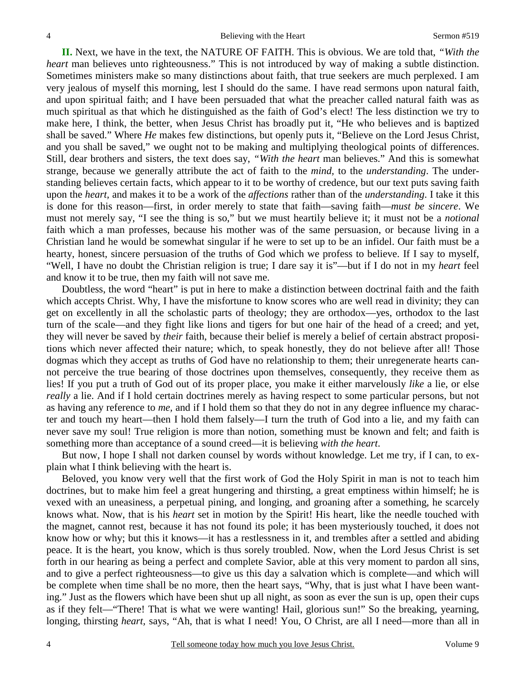**II.** Next, we have in the text, the NATURE OF FAITH. This is obvious. We are told that, *"With the heart* man believes unto righteousness." This is not introduced by way of making a subtle distinction. Sometimes ministers make so many distinctions about faith, that true seekers are much perplexed. I am very jealous of myself this morning, lest I should do the same. I have read sermons upon natural faith, and upon spiritual faith; and I have been persuaded that what the preacher called natural faith was as much spiritual as that which he distinguished as the faith of God's elect! The less distinction we try to make here, I think, the better, when Jesus Christ has broadly put it, "He who believes and is baptized shall be saved." Where *He* makes few distinctions, but openly puts it, "Believe on the Lord Jesus Christ, and you shall be saved," we ought not to be making and multiplying theological points of differences. Still, dear brothers and sisters, the text does say, *"With the heart* man believes." And this is somewhat strange, because we generally attribute the act of faith to the *mind,* to the *understanding*. The understanding believes certain facts, which appear to it to be worthy of credence, but our text puts saving faith upon the *heart,* and makes it to be a work of the *affections* rather than of the *understanding*. I take it this is done for this reason—first, in order merely to state that faith—saving faith—*must be sincere*. We must not merely say, "I see the thing is so," but we must heartily believe it; it must not be a *notional* faith which a man professes, because his mother was of the same persuasion, or because living in a Christian land he would be somewhat singular if he were to set up to be an infidel. Our faith must be a hearty, honest, sincere persuasion of the truths of God which we profess to believe. If I say to myself, "Well, I have no doubt the Christian religion is true; I dare say it is"—but if I do not in my *heart* feel and know it to be true, then my faith will not save me.

Doubtless, the word "heart" is put in here to make a distinction between doctrinal faith and the faith which accepts Christ. Why, I have the misfortune to know scores who are well read in divinity; they can get on excellently in all the scholastic parts of theology; they are orthodox—yes, orthodox to the last turn of the scale—and they fight like lions and tigers for but one hair of the head of a creed; and yet, they will never be saved by *their* faith, because their belief is merely a belief of certain abstract propositions which never affected their nature; which, to speak honestly, they do not believe after all! Those dogmas which they accept as truths of God have no relationship to them; their unregenerate hearts cannot perceive the true bearing of those doctrines upon themselves, consequently, they receive them as lies! If you put a truth of God out of its proper place, you make it either marvelously *like* a lie, or else *really* a lie. And if I hold certain doctrines merely as having respect to some particular persons, but not as having any reference to *me,* and if I hold them so that they do not in any degree influence my character and touch my heart—then I hold them falsely—I turn the truth of God into a lie, and my faith can never save my soul! True religion is more than notion, something must be known and felt; and faith is something more than acceptance of a sound creed—it is believing *with the heart*.

But now, I hope I shall not darken counsel by words without knowledge. Let me try, if I can, to explain what I think believing with the heart is.

Beloved, you know very well that the first work of God the Holy Spirit in man is not to teach him doctrines, but to make him feel a great hungering and thirsting, a great emptiness within himself; he is vexed with an uneasiness, a perpetual pining, and longing, and groaning after a something, he scarcely knows what. Now, that is his *heart* set in motion by the Spirit! His heart, like the needle touched with the magnet, cannot rest, because it has not found its pole; it has been mysteriously touched, it does not know how or why; but this it knows—it has a restlessness in it, and trembles after a settled and abiding peace. It is the heart, you know, which is thus sorely troubled. Now, when the Lord Jesus Christ is set forth in our hearing as being a perfect and complete Savior, able at this very moment to pardon all sins, and to give a perfect righteousness—to give us this day a salvation which is complete—and which will be complete when time shall be no more, then the heart says, "Why, that is just what I have been wanting." Just as the flowers which have been shut up all night, as soon as ever the sun is up, open their cups as if they felt—"There! That is what we were wanting! Hail, glorious sun!" So the breaking, yearning, longing, thirsting *heart*, says, "Ah, that is what I need! You, O Christ, are all I need—more than all in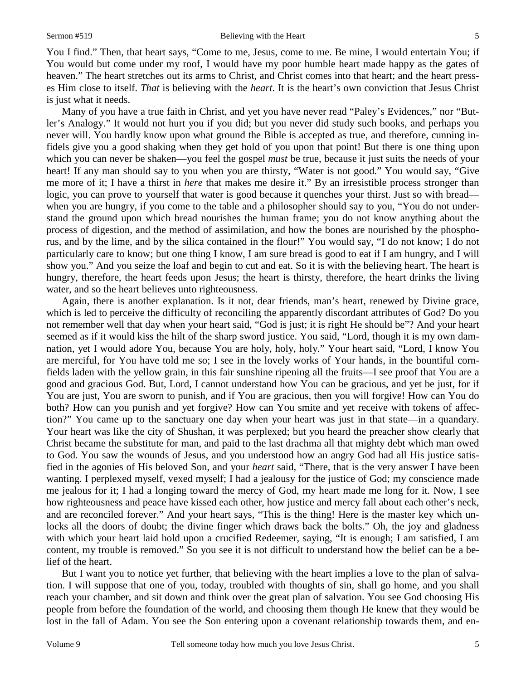You I find." Then, that heart says, "Come to me, Jesus, come to me. Be mine, I would entertain You; if You would but come under my roof, I would have my poor humble heart made happy as the gates of heaven." The heart stretches out its arms to Christ, and Christ comes into that heart; and the heart presses Him close to itself. *That* is believing with the *heart*. It is the heart's own conviction that Jesus Christ is just what it needs.

Many of you have a true faith in Christ, and yet you have never read "Paley's Evidences," nor "Butler's Analogy." It would not hurt you if you did; but you never did study such books, and perhaps you never will. You hardly know upon what ground the Bible is accepted as true, and therefore, cunning infidels give you a good shaking when they get hold of you upon that point! But there is one thing upon which you can never be shaken—you feel the gospel *must* be true, because it just suits the needs of your heart! If any man should say to you when you are thirsty, "Water is not good." You would say, "Give me more of it; I have a thirst in *here* that makes me desire it." By an irresistible process stronger than logic, you can prove to yourself that water is good because it quenches your thirst. Just so with bread when you are hungry, if you come to the table and a philosopher should say to you, "You do not understand the ground upon which bread nourishes the human frame; you do not know anything about the process of digestion, and the method of assimilation, and how the bones are nourished by the phosphorus, and by the lime, and by the silica contained in the flour!" You would say, "I do not know; I do not particularly care to know; but one thing I know, I am sure bread is good to eat if I am hungry, and I will show you." And you seize the loaf and begin to cut and eat. So it is with the believing heart. The heart is hungry, therefore, the heart feeds upon Jesus; the heart is thirsty, therefore, the heart drinks the living water, and so the heart believes unto righteousness.

Again, there is another explanation. Is it not, dear friends, man's heart, renewed by Divine grace, which is led to perceive the difficulty of reconciling the apparently discordant attributes of God? Do you not remember well that day when your heart said, "God is just; it is right He should be"? And your heart seemed as if it would kiss the hilt of the sharp sword justice. You said, "Lord, though it is my own damnation, yet I would adore You, because You are holy, holy, holy." Your heart said, "Lord, I know You are merciful, for You have told me so; I see in the lovely works of Your hands, in the bountiful cornfields laden with the yellow grain, in this fair sunshine ripening all the fruits—I see proof that You are a good and gracious God. But, Lord, I cannot understand how You can be gracious, and yet be just, for if You are just, You are sworn to punish, and if You are gracious, then you will forgive! How can You do both? How can you punish and yet forgive? How can You smite and yet receive with tokens of affection?" You came up to the sanctuary one day when your heart was just in that state—in a quandary. Your heart was like the city of Shushan, it was perplexed; but you heard the preacher show clearly that Christ became the substitute for man, and paid to the last drachma all that mighty debt which man owed to God. You saw the wounds of Jesus, and you understood how an angry God had all His justice satisfied in the agonies of His beloved Son, and your *heart* said, "There, that is the very answer I have been wanting. I perplexed myself, vexed myself; I had a jealousy for the justice of God; my conscience made me jealous for it; I had a longing toward the mercy of God, my heart made me long for it. Now, I see how righteousness and peace have kissed each other, how justice and mercy fall about each other's neck, and are reconciled forever." And your heart says, "This is the thing! Here is the master key which unlocks all the doors of doubt; the divine finger which draws back the bolts." Oh, the joy and gladness with which your heart laid hold upon a crucified Redeemer, saying, "It is enough; I am satisfied, I am content, my trouble is removed." So you see it is not difficult to understand how the belief can be a belief of the heart.

But I want you to notice yet further, that believing with the heart implies a love to the plan of salvation. I will suppose that one of you, today, troubled with thoughts of sin, shall go home, and you shall reach your chamber, and sit down and think over the great plan of salvation. You see God choosing His people from before the foundation of the world, and choosing them though He knew that they would be lost in the fall of Adam. You see the Son entering upon a covenant relationship towards them, and en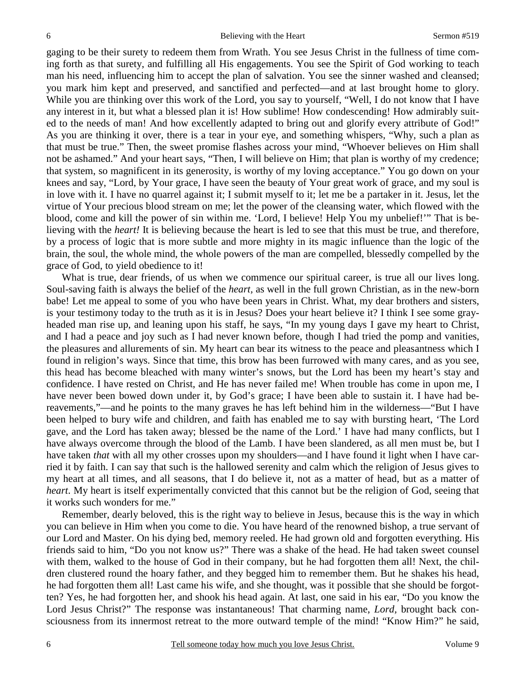gaging to be their surety to redeem them from Wrath. You see Jesus Christ in the fullness of time coming forth as that surety, and fulfilling all His engagements. You see the Spirit of God working to teach man his need, influencing him to accept the plan of salvation. You see the sinner washed and cleansed; you mark him kept and preserved, and sanctified and perfected—and at last brought home to glory. While you are thinking over this work of the Lord, you say to yourself, "Well, I do not know that I have any interest in it, but what a blessed plan it is! How sublime! How condescending! How admirably suited to the needs of man! And how excellently adapted to bring out and glorify every attribute of God!" As you are thinking it over, there is a tear in your eye, and something whispers, "Why, such a plan as that must be true." Then, the sweet promise flashes across your mind, "Whoever believes on Him shall not be ashamed." And your heart says, "Then, I will believe on Him; that plan is worthy of my credence; that system, so magnificent in its generosity, is worthy of my loving acceptance." You go down on your knees and say, "Lord, by Your grace, I have seen the beauty of Your great work of grace, and my soul is in love with it. I have no quarrel against it; I submit myself to it; let me be a partaker in it. Jesus, let the virtue of Your precious blood stream on me; let the power of the cleansing water, which flowed with the blood, come and kill the power of sin within me. 'Lord, I believe! Help You my unbelief!'" That is believing with the *heart!* It is believing because the heart is led to see that this must be true, and therefore, by a process of logic that is more subtle and more mighty in its magic influence than the logic of the brain, the soul, the whole mind, the whole powers of the man are compelled, blessedly compelled by the grace of God, to yield obedience to it!

What is true, dear friends, of us when we commence our spiritual career, is true all our lives long. Soul-saving faith is always the belief of the *heart,* as well in the full grown Christian, as in the new-born babe! Let me appeal to some of you who have been years in Christ. What, my dear brothers and sisters, is your testimony today to the truth as it is in Jesus? Does your heart believe it? I think I see some grayheaded man rise up, and leaning upon his staff, he says, "In my young days I gave my heart to Christ, and I had a peace and joy such as I had never known before, though I had tried the pomp and vanities, the pleasures and allurements of sin. My heart can bear its witness to the peace and pleasantness which I found in religion's ways. Since that time, this brow has been furrowed with many cares, and as you see, this head has become bleached with many winter's snows, but the Lord has been my heart's stay and confidence. I have rested on Christ, and He has never failed me! When trouble has come in upon me, I have never been bowed down under it, by God's grace; I have been able to sustain it. I have had bereavements,"—and he points to the many graves he has left behind him in the wilderness—"But I have been helped to bury wife and children, and faith has enabled me to say with bursting heart, 'The Lord gave, and the Lord has taken away; blessed be the name of the Lord.' I have had many conflicts, but I have always overcome through the blood of the Lamb. I have been slandered, as all men must be, but I have taken *that* with all my other crosses upon my shoulders—and I have found it light when I have carried it by faith. I can say that such is the hallowed serenity and calm which the religion of Jesus gives to my heart at all times, and all seasons, that I do believe it, not as a matter of head, but as a matter of *heart*. My heart is itself experimentally convicted that this cannot but be the religion of God, seeing that it works such wonders for me."

Remember, dearly beloved, this is the right way to believe in Jesus, because this is the way in which you can believe in Him when you come to die. You have heard of the renowned bishop, a true servant of our Lord and Master. On his dying bed, memory reeled. He had grown old and forgotten everything. His friends said to him, "Do you not know us?" There was a shake of the head. He had taken sweet counsel with them, walked to the house of God in their company, but he had forgotten them all! Next, the children clustered round the hoary father, and they begged him to remember them. But he shakes his head, he had forgotten them all! Last came his wife, and she thought, was it possible that she should be forgotten? Yes, he had forgotten her, and shook his head again. At last, one said in his ear, "Do you know the Lord Jesus Christ?" The response was instantaneous! That charming name, *Lord,* brought back consciousness from its innermost retreat to the more outward temple of the mind! "Know Him?" he said,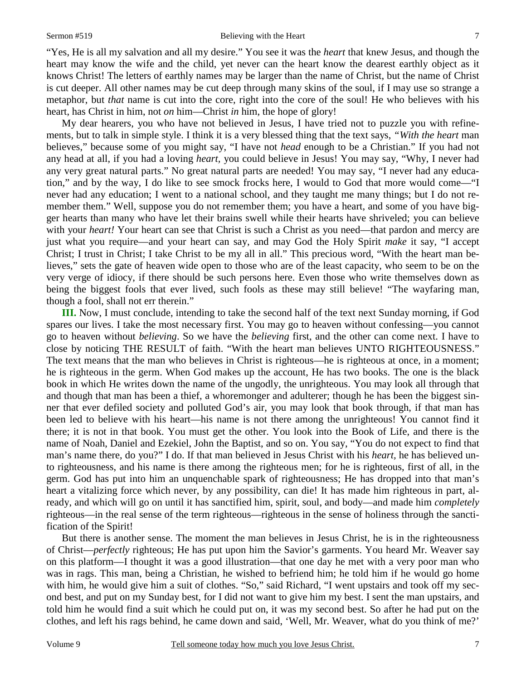#### Sermon #519 Believing with the Heart

"Yes, He is all my salvation and all my desire." You see it was the *heart* that knew Jesus, and though the heart may know the wife and the child, yet never can the heart know the dearest earthly object as it knows Christ! The letters of earthly names may be larger than the name of Christ, but the name of Christ is cut deeper. All other names may be cut deep through many skins of the soul, if I may use so strange a metaphor, but *that* name is cut into the core, right into the core of the soul! He who believes with his heart, has Christ in him, not *on* him—Christ *in* him, the hope of glory!

My dear hearers, you who have not believed in Jesus, I have tried not to puzzle you with refinements, but to talk in simple style. I think it is a very blessed thing that the text says, *"With the heart* man believes," because some of you might say, "I have not *head* enough to be a Christian." If you had not any head at all, if you had a loving *heart,* you could believe in Jesus! You may say, "Why, I never had any very great natural parts." No great natural parts are needed! You may say, "I never had any education," and by the way, I do like to see smock frocks here, I would to God that more would come—"I never had any education; I went to a national school, and they taught me many things; but I do not remember them." Well, suppose you do not remember them; you have a heart, and some of you have bigger hearts than many who have let their brains swell while their hearts have shriveled; you can believe with your *heart!* Your heart can see that Christ is such a Christ as you need—that pardon and mercy are just what you require—and your heart can say, and may God the Holy Spirit *make* it say, "I accept Christ; I trust in Christ; I take Christ to be my all in all." This precious word, "With the heart man believes," sets the gate of heaven wide open to those who are of the least capacity, who seem to be on the very verge of idiocy, if there should be such persons here. Even those who write themselves down as being the biggest fools that ever lived, such fools as these may still believe! "The wayfaring man, though a fool, shall not err therein."

**III.** Now, I must conclude, intending to take the second half of the text next Sunday morning, if God spares our lives. I take the most necessary first. You may go to heaven without confessing—you cannot go to heaven without *believing*. So we have the *believing* first, and the other can come next. I have to close by noticing THE RESULT of faith. "With the heart man believes UNTO RIGHTEOUSNESS." The text means that the man who believes in Christ is righteous—he is righteous at once, in a moment; he is righteous in the germ. When God makes up the account, He has two books. The one is the black book in which He writes down the name of the ungodly, the unrighteous. You may look all through that and though that man has been a thief, a whoremonger and adulterer; though he has been the biggest sinner that ever defiled society and polluted God's air, you may look that book through, if that man has been led to believe with his heart—his name is not there among the unrighteous! You cannot find it there; it is not in that book. You must get the other. You look into the Book of Life, and there is the name of Noah, Daniel and Ezekiel, John the Baptist, and so on. You say, "You do not expect to find that man's name there, do you?" I do. If that man believed in Jesus Christ with his *heart,* he has believed unto righteousness, and his name is there among the righteous men; for he is righteous, first of all, in the germ. God has put into him an unquenchable spark of righteousness; He has dropped into that man's heart a vitalizing force which never, by any possibility, can die! It has made him righteous in part, already, and which will go on until it has sanctified him, spirit, soul, and body—and made him *completely* righteous—in the real sense of the term righteous—righteous in the sense of holiness through the sanctification of the Spirit!

But there is another sense. The moment the man believes in Jesus Christ, he is in the righteousness of Christ—*perfectly* righteous; He has put upon him the Savior's garments. You heard Mr. Weaver say on this platform—I thought it was a good illustration—that one day he met with a very poor man who was in rags. This man, being a Christian, he wished to befriend him; he told him if he would go home with him, he would give him a suit of clothes. "So," said Richard, "I went upstairs and took off my second best, and put on my Sunday best, for I did not want to give him my best. I sent the man upstairs, and told him he would find a suit which he could put on, it was my second best. So after he had put on the clothes, and left his rags behind, he came down and said, 'Well, Mr. Weaver, what do you think of me?'